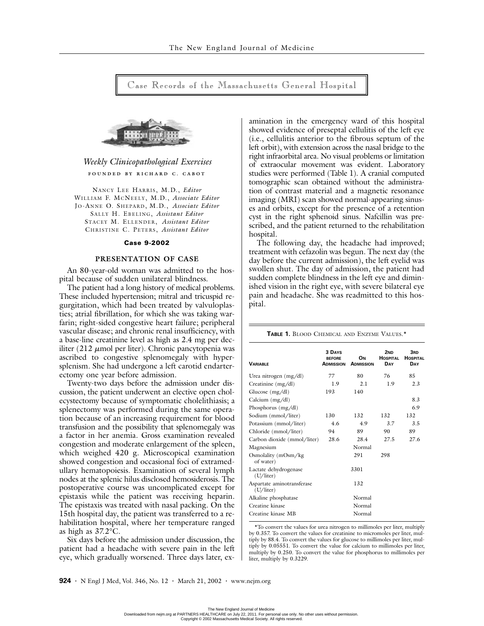Case Records of the Massachusetts General Hospital



# *Weekly Clinicopathological Exercises*

**FOUNDED BY RICHARD C. CABOT**

NANCY LEE HARRIS, M.D., *Editor* WILLIAM F. MCNEELY, M.D., *Associate Editor* JO-ANNE O. SHEPARD , M.D., *Associate Editor* SALLY H. EBELING, *Assistant Editor* STACEY M. ELLENDER , *Assistant Editor* CHRISTINE C. PETERS , *Assistant Editor*

## **Case 9-2002**

### **PRESENTATION OF CASE**

An 80-year-old woman was admitted to the hospital because of sudden unilateral blindness.

The patient had a long history of medical problems. These included hypertension; mitral and tricuspid regurgitation, which had been treated by valvuloplasties; atrial fibrillation, for which she was taking warfarin; right-sided congestive heart failure; peripheral vascular disease; and chronic renal insufficiency, with a base-line creatinine level as high as 2.4 mg per deciliter  $(212 \mu \text{mol per liter})$ . Chronic pancytopenia was ascribed to congestive splenomegaly with hypersplenism. She had undergone a left carotid endarterectomy one year before admission.

Twenty-two days before the admission under discussion, the patient underwent an elective open cholecystectomy because of symptomatic cholelithiasis; a splenectomy was performed during the same operation because of an increasing requirement for blood transfusion and the possibility that splenomegaly was a factor in her anemia. Gross examination revealed congestion and moderate enlargement of the spleen, which weighed 420 g. Microscopical examination showed congestion and occasional foci of extramedullary hematopoiesis. Examination of several lymph nodes at the splenic hilus disclosed hemosiderosis. The postoperative course was uncomplicated except for epistaxis while the patient was receiving heparin. The epistaxis was treated with nasal packing. On the 15th hospital day, the patient was transferred to a rehabilitation hospital, where her temperature ranged as high as  $37.2$ <sup>o</sup>C.

Six days before the admission under discussion, the patient had a headache with severe pain in the left eye, which gradually worsened. Three days later, examination in the emergency ward of this hospital showed evidence of preseptal cellulitis of the left eye (i.e., cellulitis anterior to the fibrous septum of the left orbit), with extension across the nasal bridge to the right infraorbital area. No visual problems or limitation of extraocular movement was evident. Laboratory studies were performed (Table 1). A cranial computed tomographic scan obtained without the administration of contrast material and a magnetic resonance imaging (MRI) scan showed normal-appearing sinuses and orbits, except for the presence of a retention cyst in the right sphenoid sinus. Nafcillin was prescribed, and the patient returned to the rehabilitation hospital.

The following day, the headache had improved; treatment with cefazolin was begun. The next day (the day before the current admission), the left eyelid was swollen shut. The day of admission, the patient had sudden complete blindness in the left eye and diminished vision in the right eye, with severe bilateral eye pain and headache. She was readmitted to this hospital.

**TABLE 1.** BLOOD CHEMICAL AND ENZYME VALUES.\*

| <b><i>VARIABLE</i></b>                  | 3 DAYS<br><b>BEFORE</b><br>ADMISSION | Oм<br><b>ADMISSION</b> | 2 <sub>ND</sub><br><b>HOSPITAL</b><br>DAY | 3RD<br><b>HOSPITAL</b><br>DAY |
|-----------------------------------------|--------------------------------------|------------------------|-------------------------------------------|-------------------------------|
| Urea nitrogen (mg/dl)                   | 77                                   | 80                     | 76                                        | 85                            |
| Creatinine (mg/dl)                      | 1.9                                  | 2.1                    | 1.9                                       | 2.3                           |
| Glucose $(mg/dl)$                       | 193                                  | 140                    |                                           |                               |
| Calcium (mg/dl)                         |                                      |                        |                                           | 8.3                           |
| Phosphorus $(mg/dl)$                    |                                      |                        |                                           | 6.9                           |
| Sodium (mmol/liter)                     | 130                                  | 132                    | 132                                       | 132                           |
| Potassium (mmol/liter)                  | 4.6                                  | 4.9                    | 3.7                                       | 3.5                           |
| Chloride (mmol/liter)                   | 94                                   | 89                     | 90                                        | 89                            |
| Carbon dioxide (mmol/liter)             | 28.6                                 | 28.4                   | 27.5                                      | 27.6                          |
| Magnesium                               |                                      | Normal                 |                                           |                               |
| Osmolality (mOsm/kg)<br>of water)       |                                      | 291                    | 298                                       |                               |
| Lactate dehydrogenase<br>(U/liter)      |                                      | 3301                   |                                           |                               |
| Aspartate aminotransferase<br>(U/liter) |                                      | 132                    |                                           |                               |
| Alkaline phosphatase                    |                                      | Normal                 |                                           |                               |
| Creatine kinase                         |                                      | Normal                 |                                           |                               |
| Creatine kinase MB                      |                                      | Normal                 |                                           |                               |
|                                         |                                      |                        |                                           |                               |

\*To convert the values for urea nitrogen to millimoles per liter, multiply by 0.357. To convert the values for creatinine to micromoles per liter, multiply by 88.4. To convert the values for glucose to millimoles per liter, multiply by 0.05551. To convert the value for calcium to millimoles per liter, multiply by 0.250. To convert the value for phosphorus to millimoles per liter, multiply by 0.3229.

**924 ·** N Engl J Med, Vol. 346, No. 12 **·** March 21, 2002 **·** www.nejm.org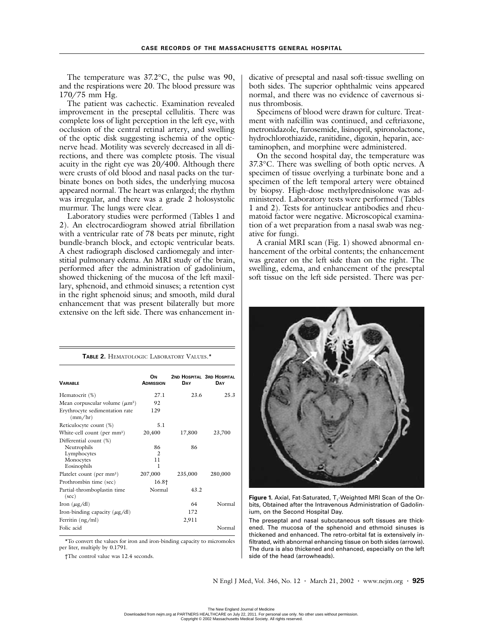The temperature was 37.2°C, the pulse was 90, and the respirations were 20. The blood pressure was 170/75 mm Hg.

The patient was cachectic. Examination revealed improvement in the preseptal cellulitis. There was complete loss of light perception in the left eye, with occlusion of the central retinal artery, and swelling of the optic disk suggesting ischemia of the opticnerve head. Motility was severely decreased in all directions, and there was complete ptosis. The visual acuity in the right eye was 20/400. Although there were crusts of old blood and nasal packs on the turbinate bones on both sides, the underlying mucosa appeared normal. The heart was enlarged; the rhythm was irregular, and there was a grade 2 holosystolic murmur. The lungs were clear.

Laboratory studies were performed (Tables 1 and 2). An electrocardiogram showed atrial fibrillation with a ventricular rate of 78 beats per minute, right bundle-branch block, and ectopic ventricular beats. A chest radiograph disclosed cardiomegaly and interstitial pulmonary edema. An MRI study of the brain, performed after the administration of gadolinium, showed thickening of the mucosa of the left maxillary, sphenoid, and ethmoid sinuses; a retention cyst in the right sphenoid sinus; and smooth, mild dural enhancement that was present bilaterally but more extensive on the left side. There was enhancement in-

| <b>TABLE 2. HEMATOLOGIC LABORATORY VALUES.*</b>                                  |                                 |         |                                  |  |
|----------------------------------------------------------------------------------|---------------------------------|---------|----------------------------------|--|
| <b><i>VARIABLE</i></b>                                                           | Ом<br><b>ADMISSION</b>          | DAY     | 2ND HOSPITAL 3RD HOSPITAL<br>DAY |  |
| Hematocrit (%)                                                                   | 27.1                            | 23.6    | 25.3                             |  |
| Mean corpuscular volume $(\mu m^3)$                                              | 92                              |         |                                  |  |
| Erythrocyte sedimentation rate<br>(mm/hr)                                        | 129                             |         |                                  |  |
| Reticulocyte count (%)                                                           | 5.1                             |         |                                  |  |
| White-cell count (per mm <sup>3</sup> )                                          | 20,400                          | 17,800  | 23,700                           |  |
| Differential count (%)<br>Neutrophils<br>Lymphocytes<br>Monocytes<br>Eosinophils | 86<br>$\mathfrak{D}$<br>11<br>ı | 86      |                                  |  |
| Platelet count (per mm <sup>3</sup> )                                            | 207,000                         | 235,000 | 280,000                          |  |
| Prothrombin time (sec)                                                           | 16.8†                           |         |                                  |  |
| Partial-thromboplastin time<br>(sec)                                             | Normal                          | 43.2    |                                  |  |
| Iron $(\mu g/dl)$                                                                |                                 | 64      | Normal                           |  |
| Iron-binding capacity $(\mu g/dl)$                                               |                                 | 172     |                                  |  |
| Ferritin (ng/ml)                                                                 |                                 | 2,911   |                                  |  |
| Folic acid                                                                       |                                 |         | Normal                           |  |

\*To convert the values for iron and iron-binding capacity to micromoles per liter, multiply by 0.1791.

†The control value was 12.4 seconds.

dicative of preseptal and nasal soft-tissue swelling on both sides. The superior ophthalmic veins appeared normal, and there was no evidence of cavernous sinus thrombosis.

Specimens of blood were drawn for culture. Treatment with nafcillin was continued, and ceftriaxone, metronidazole, furosemide, lisinopril, spironolactone, hydrochlorothiazide, ranitidine, digoxin, heparin, acetaminophen, and morphine were administered.

On the second hospital day, the temperature was 37.3°C. There was swelling of both optic nerves. A specimen of tissue overlying a turbinate bone and a specimen of the left temporal artery were obtained by biopsy. High-dose methylprednisolone was administered. Laboratory tests were performed (Tables 1 and 2). Tests for antinuclear antibodies and rheumatoid factor were negative. Microscopical examination of a wet preparation from a nasal swab was negative for fungi.

A cranial MRI scan (Fig. 1) showed abnormal enhancement of the orbital contents; the enhancement was greater on the left side than on the right. The swelling, edema, and enhancement of the preseptal soft tissue on the left side persisted. There was per-



Figure 1. Axial, Fat-Saturated, T<sub>1</sub>-Weighted MRI Scan of the Orbits, Obtained after the Intravenous Administration of Gadolinium, on the Second Hospital Day.

The preseptal and nasal subcutaneous soft tissues are thickened. The mucosa of the sphenoid and ethmoid sinuses is thickened and enhanced. The retro-orbital fat is extensively infiltrated, with abnormal enhancing tissue on both sides (arrows). The dura is also thickened and enhanced, especially on the left side of the head (arrowheads).

N Engl J Med, Vol. 346, No. 12 **·** March 21, 2002 **·** www.nejm.org **· 925**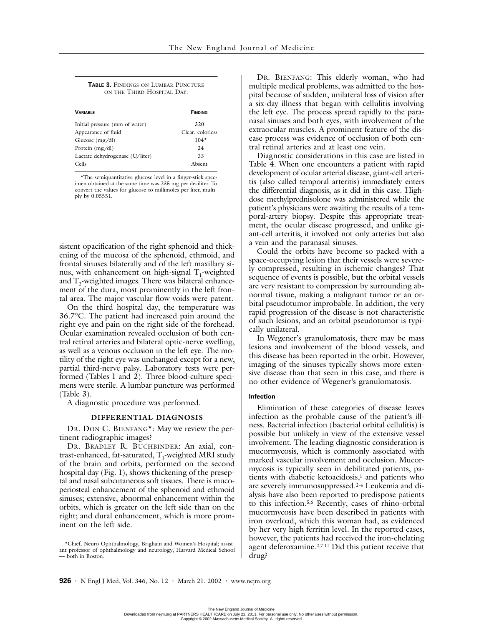| <b>TABLE 3. FINDINGS ON LUMBAR PUNCTURE</b> |  |
|---------------------------------------------|--|
| ON THE THIRD HOSPITAL DAY.                  |  |

| <b><i>VARIABLE</i></b>          | <b>FINDING</b>   |
|---------------------------------|------------------|
| Initial pressure (mm of water)  | 320              |
| Appearance of fluid             | Clear, colorless |
| Glucose $(mg/dl)$               | $104*$           |
| Protein $(mg/dl)$               | 24               |
| Lactate dehydrogenase (U/liter) | 33               |
| Cells                           | Absent           |

\*The semiquantitative glucose level in a finger-stick specimen obtained at the same time was 235 mg per deciliter. To convert the values for glucose to millimoles per liter, multiply by 0.05551.

sistent opacification of the right sphenoid and thickening of the mucosa of the sphenoid, ethmoid, and frontal sinuses bilaterally and of the left maxillary sinus, with enhancement on high-signal  $T_1$ -weighted and  $T<sub>2</sub>$ -weighted images. There was bilateral enhancement of the dura, most prominently in the left frontal area. The major vascular flow voids were patent.

On the third hospital day, the temperature was 36.7°C. The patient had increased pain around the right eye and pain on the right side of the forehead. Ocular examination revealed occlusion of both central retinal arteries and bilateral optic-nerve swelling, as well as a venous occlusion in the left eye. The motility of the right eye was unchanged except for a new, partial third-nerve palsy. Laboratory tests were performed (Tables 1 and 2). Three blood-culture specimens were sterile. A lumbar puncture was performed (Table 3).

A diagnostic procedure was performed.

## **DIFFERENTIAL DIAGNOSIS**

DR. DON C. BIENFANG<sup>\*</sup>: May we review the pertinent radiographic images?

DR. BRADLEY R. BUCHBINDER: An axial, contrast-enhanced, fat-saturated,  $T_1$ -weighted MRI study of the brain and orbits, performed on the second hospital day (Fig. 1), shows thickening of the preseptal and nasal subcutaneous soft tissues. There is mucoperiosteal enhancement of the sphenoid and ethmoid sinuses; extensive, abnormal enhancement within the orbits, which is greater on the left side than on the right; and dural enhancement, which is more prominent on the left side.

DR. BIENFANG: This elderly woman, who had multiple medical problems, was admitted to the hospital because of sudden, unilateral loss of vision after a six-day illness that began with cellulitis involving the left eye. The process spread rapidly to the paranasal sinuses and both eyes, with involvement of the extraocular muscles. A prominent feature of the disease process was evidence of occlusion of both central retinal arteries and at least one vein.

Diagnostic considerations in this case are listed in Table 4. When one encounters a patient with rapid development of ocular arterial disease, giant-cell arteritis (also called temporal arteritis) immediately enters the differential diagnosis, as it did in this case. Highdose methylprednisolone was administered while the patient's physicians were awaiting the results of a temporal-artery biopsy. Despite this appropriate treatment, the ocular disease progressed, and unlike giant-cell arteritis, it involved not only arteries but also a vein and the paranasal sinuses.

Could the orbits have become so packed with a space-occupying lesion that their vessels were severely compressed, resulting in ischemic changes? That sequence of events is possible, but the orbital vessels are very resistant to compression by surrounding abnormal tissue, making a malignant tumor or an orbital pseudotumor improbable. In addition, the very rapid progression of the disease is not characteristic of such lesions, and an orbital pseudotumor is typically unilateral.

In Wegener's granulomatosis, there may be mass lesions and involvement of the blood vessels, and this disease has been reported in the orbit. However, imaging of the sinuses typically shows more extensive disease than that seen in this case, and there is no other evidence of Wegener's granulomatosis.

#### **Infection**

Elimination of these categories of disease leaves infection as the probable cause of the patient's illness. Bacterial infection (bacterial orbital cellulitis) is possible but unlikely in view of the extensive vessel involvement. The leading diagnostic consideration is mucormycosis, which is commonly associated with marked vascular involvement and occlusion. Mucormycosis is typically seen in debilitated patients, patients with diabetic ketoacidosis, $<sup>1</sup>$  and patients who</sup> are severely immunosuppressed.2-4 Leukemia and dialysis have also been reported to predispose patients to this infection.5,6 Recently, cases of rhino-orbital mucormycosis have been described in patients with iron overload, which this woman had, as evidenced by her very high ferritin level. In the reported cases, however, the patients had received the iron-chelating agent deferoxamine.2,7-11 Did this patient receive that drug?

**926 ·** N Engl J Med, Vol. 346, No. 12 **·** March 21, 2002 **·** www.nejm.org

<sup>\*</sup>Chief, Neuro-Ophthalmology, Brigham and Women's Hospital; assistant professor of ophthalmology and neurology, Harvard Medical School — both in Boston.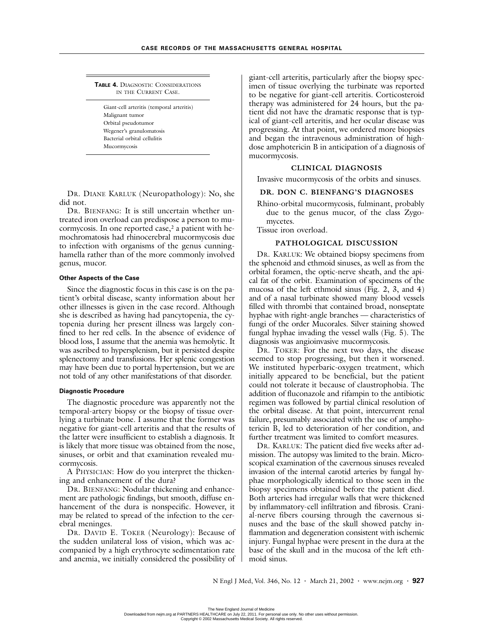**TABLE 4. DIAGNOSTIC CONSIDERATIONS** IN THE CURRENT CASE.

> Giant-cell arteritis (temporal arteritis) Malignant tumor Orbital pseudotumor Wegener's granulomatosis Bacterial orbital cellulitis Mucormycosis

DR. DIANE KARLUK (Neuropathology): No, she did not.

DR. BIENFANG: It is still uncertain whether untreated iron overload can predispose a person to mucormycosis. In one reported case,<sup>2</sup> a patient with hemochromatosis had rhinocerebral mucormycosis due to infection with organisms of the genus cunninghamella rather than of the more commonly involved genus, mucor.

## **Other Aspects of the Case**

Since the diagnostic focus in this case is on the patient's orbital disease, scanty information about her other illnesses is given in the case record. Although she is described as having had pancytopenia, the cytopenia during her present illness was largely confined to her red cells. In the absence of evidence of blood loss, I assume that the anemia was hemolytic. It was ascribed to hypersplenism, but it persisted despite splenectomy and transfusions. Her splenic congestion may have been due to portal hypertension, but we are not told of any other manifestations of that disorder.

## **Diagnostic Procedure**

The diagnostic procedure was apparently not the temporal-artery biopsy or the biopsy of tissue overlying a turbinate bone. I assume that the former was negative for giant-cell arteritis and that the results of the latter were insufficient to establish a diagnosis. It is likely that more tissue was obtained from the nose, sinuses, or orbit and that examination revealed mucormycosis.

A PHYSICIAN: How do you interpret the thickening and enhancement of the dura?

DR. BIENFANG: Nodular thickening and enhancement are pathologic findings, but smooth, diffuse enhancement of the dura is nonspecific. However, it may be related to spread of the infection to the cerebral meninges.

DR. DAVID E. TOKER (Neurology): Because of the sudden unilateral loss of vision, which was accompanied by a high erythrocyte sedimentation rate and anemia, we initially considered the possibility of giant-cell arteritis, particularly after the biopsy specimen of tissue overlying the turbinate was reported to be negative for giant-cell arteritis. Corticosteroid therapy was administered for 24 hours, but the patient did not have the dramatic response that is typical of giant-cell arteritis, and her ocular disease was progressing. At that point, we ordered more biopsies and began the intravenous administration of highdose amphotericin B in anticipation of a diagnosis of mucormycosis.

## **CLINICAL DIAGNOSIS**

Invasive mucormycosis of the orbits and sinuses.

## **DR. DON C. BIENFANG'S DIAGNOSES**

Rhino-orbital mucormycosis, fulminant, probably due to the genus mucor, of the class Zygomycetes.

Tissue iron overload.

## **PATHOLOGICAL DISCUSSION**

DR. KARLUK: We obtained biopsy specimens from the sphenoid and ethmoid sinuses, as well as from the orbital foramen, the optic-nerve sheath, and the apical fat of the orbit. Examination of specimens of the mucosa of the left ethmoid sinus (Fig. 2, 3, and 4) and of a nasal turbinate showed many blood vessels filled with thrombi that contained broad, nonseptate hyphae with right-angle branches — characteristics of fungi of the order Mucorales. Silver staining showed fungal hyphae invading the vessel walls (Fig. 5). The diagnosis was angioinvasive mucormycosis.

DR. TOKER: For the next two days, the disease seemed to stop progressing, but then it worsened. We instituted hyperbaric-oxygen treatment, which initially appeared to be beneficial, but the patient could not tolerate it because of claustrophobia. The addition of fluconazole and rifampin to the antibiotic regimen was followed by partial clinical resolution of the orbital disease. At that point, intercurrent renal failure, presumably associated with the use of amphotericin B, led to deterioration of her condition, and further treatment was limited to comfort measures.

DR. KARLUK: The patient died five weeks after admission. The autopsy was limited to the brain. Microscopical examination of the cavernous sinuses revealed invasion of the internal carotid arteries by fungal hyphae morphologically identical to those seen in the biopsy specimens obtained before the patient died. Both arteries had irregular walls that were thickened by inflammatory-cell infiltration and fibrosis. Cranial-nerve fibers coursing through the cavernous sinuses and the base of the skull showed patchy inflammation and degeneration consistent with ischemic injury. Fungal hyphae were present in the dura at the base of the skull and in the mucosa of the left ethmoid sinus.

N Engl J Med, Vol. 346, No. 12 **·** March 21, 2002 **·** www.nejm.org **· 927**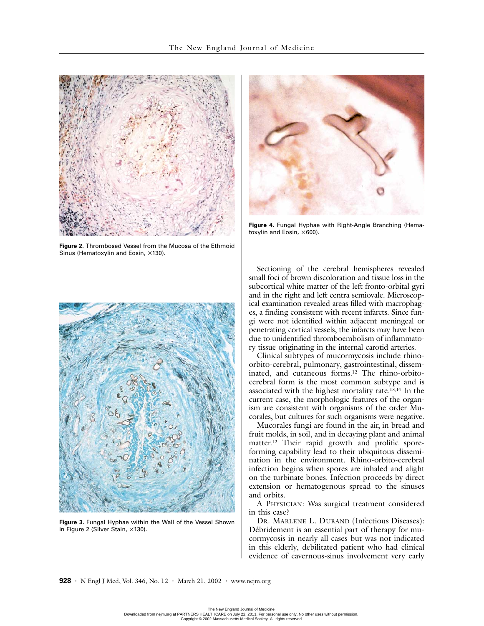

**Figure 2.** Thrombosed Vessel from the Mucosa of the Ethmoid Sinus (Hematoxylin and Eosin,  $\times$ 130).



**Figure 3.** Fungal Hyphae within the Wall of the Vessel Shown in Figure 2 (Silver Stain,  $\times$ 130).



**Figure 4.** Fungal Hyphae with Right-Angle Branching (Hematoxylin and Eosin,  $\times$  600).

Sectioning of the cerebral hemispheres revealed small foci of brown discoloration and tissue loss in the subcortical white matter of the left fronto-orbital gyri and in the right and left centra semiovale. Microscopical examination revealed areas filled with macrophages, a finding consistent with recent infarcts. Since fungi were not identified within adjacent meningeal or penetrating cortical vessels, the infarcts may have been due to unidentified thromboembolism of inflammatory tissue originating in the internal carotid arteries.

Clinical subtypes of mucormycosis include rhinoorbito-cerebral, pulmonary, gastrointestinal, disseminated, and cutaneous forms.12 The rhino-orbitocerebral form is the most common subtype and is associated with the highest mortality rate.13,14 In the current case, the morphologic features of the organism are consistent with organisms of the order Mucorales, but cultures for such organisms were negative.

Mucorales fungi are found in the air, in bread and fruit molds, in soil, and in decaying plant and animal matter.12 Their rapid growth and prolific sporeforming capability lead to their ubiquitous dissemination in the environment. Rhino-orbito-cerebral infection begins when spores are inhaled and alight on the turbinate bones. Infection proceeds by direct extension or hematogenous spread to the sinuses and orbits.

A PHYSICIAN: Was surgical treatment considered in this case?

DR. MARLENE L. DURAND (Infectious Diseases): Débridement is an essential part of therapy for mucormycosis in nearly all cases but was not indicated in this elderly, debilitated patient who had clinical evidence of cavernous-sinus involvement very early